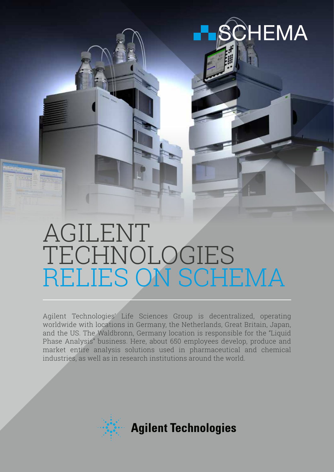

# AGILENT TECHNOLOGIES RELIES ON SCHEMA

Agilent Technologies' Life Sciences Group is decentralized, operating worldwide with locations in Germany, the Netherlands, Great Britain, Japan, and the US. The Waldbronn, Germany location is responsible for the "Liquid Phase Analysis" business. Here, about 650 employees develop, produce and market entire analysis solutions used in pharmaceutical and chemical industries, as well as in research institutions around the world.

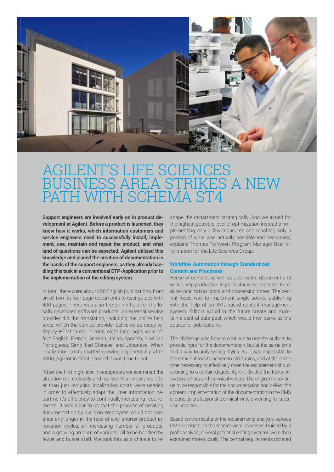

### ILENT'S LIFE SCIENCES BUSINESS AREA STRIKES A NEW PATH WITH SCHEMA ST4

**Support engineers are involved early on in product development at Agilent. Before a product is launched, they know how it works, which information customers and service engineers need to successfully install, implement, use, maintain and repair the product, and what kind of questions can be expected. Agilent utilized this knowledge and placed the creation of documentation in the hands of the support engineers, as they already handling this task in a conventional DTP-Application prior to the implementation of the editing system.**

In total, there were about 200 English publications, from small two- to four-page documents to user guides with 400 pages. There was also the online help for the locally developed software products. An external service provider did the translation, including the online help texts, which the service provider delivered as ready-todeploy HTML texts. In total, eight languages were offert: English, French, German, Italian, Spanish, Brazilian Portuguese, Simplified Chinese, and Japanese. When localization costs started growing exponentially after 2000, Agilent in 2004 decided it was time to act.

"After the first high-level investigation, we examined the situation more closely and realized that measures other than just reducing localization costs were needed in order to effectively adapt the User Information department's efficiency to continually increasing requirements. It was clear to us that the process of creating documentation by our own employees, could not continue any longer in the face of ever shorter product innovation cycles, an increasing number of products, and a growing amount of variants, all to be handled by fewer and busier staff. We took this as a chance to reshape the department strategically. And we aimed for the highest possible level of optimization instead of implementing only a few measures and reaching only a portion of what was actually possible and necessary," explains Thomas Richwien, Program Manager User Information for the Life Sciences Group.

#### **Workflow Automation through Standardized Content and Processes**

Reuse of content, as well as automated document and online help production in particular were expected to reduce localization costs and processing times. The central focus was to implement single source publishing with the help of an XML-based content management system. Editors would in the future create and maintain a central data pool, which would then serve as the source for publications.

The challenge was how to continue to use the authors to provide input for the documentation, but at the same time find a way to unify writing styles. As it was impossible to force the authors to adhere to strict rules, and at the same time necessary to effectively meet the requirement of outsourcing to a certain degree, Agilent divided the tasks between authors and technical writers. The engineers continue to be responsible for the documentation and deliver the content. Implementation of the documentation in the CMS is done by professional technical writers working for a service provider.

Based on the results of the requirements analysis, various CMS products on the market were assessed. Guided by a profit analysis, several potential editing systems were then examined more closely. The central requirements dictated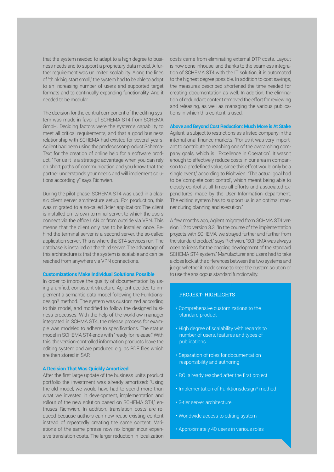that the system needed to adapt to a high degree to business needs and to support a proprietary data model. A further requirement was unlimited scalability. Along the lines of "think big, start small," the system had to be able to adapt to an increasing number of users and supported target formats and to continually expanding functionality. And it needed to be modular.

The decision for the central component of the editing system was made in favor of SCHEMA ST4 from SCHEMA GmbH. Deciding factors were the system's capability to meet all critical requirements, and that a good business relationship with SCHEMA had existed for several years. Agilent had been using the predecessor-product Schema-Text for the creation of online help for a software product. "For us it is a strategic advantage when you can rely on short paths of communication and you know that the partner understands your needs and will implement solutions accordingly," says Richwien.

During the pilot phase, SCHEMA ST4 was used in a classic client server architecture setup. For production, this was migrated to a so-called 3-tier application: The client is installed on its own terminal server, to which the users connect via the office LAN or from outside via VPN. This means that the client only has to be installed once. Behind the terminal server is a second server, the so-called application server. This is where the ST4 services run. The database is installed on the third server. The advantage of this architecture is that the system is scalable and can be reached from anywhere via VPN connections.

#### **Customizations Make Individual Solutions Possible**

In order to improve the quality of documentation by using a unified, consistent structure, Agilent decided to implement a semantic data model following the Funktionsdesign® method. The system was customized according to this model, and modified to follow the designed business processes. With the help of the workflow manager integrated in SCHMA ST4, the release process for example was modeled to adhere to specifications. The status model in SCHEMA ST4 ends with "ready for release." With this, the version-controlled information products leave the editing system and are produced e.g. as PDF files which are then stored in SAP.

#### **A Decision That Was Quickly Amortized**

After the first large update of the business unit's product portfolio the investment was already amortized: "Using the old model, we would have had to spend more than what we invested in development, implementation and rollout of the new solution based on SCHEMA ST4" enthuses Richwien. In addition, translation costs are reduced because authors can now reuse existing content instead of repeatedly creating the same content. Variations of the same phrase now no longer incur expensive translation costs. The larger reduction in localization costs came from eliminating external DTP costs. Layout is now done inhouse, and thanks to the seamless integration of SCHEMA ST4 with the IT solution, it is automated to the highest degree possible. In addition to cost savings, the measures described shortened the time needed for creating documentation as well. In addition, the elimination of redundant content removed the effort for reviewing and releasing, as well as managing the various publications in which this content is used.

#### **Above and Beyond Cost Reduction: Much More is At Stake**

Agilent is subject to restrictions as a listed company in the international finance markets. "For us it was very important to contribute to reaching one of the overarching company goals, which is 'Excellence in Operation'. It wasn't enough to effectively reduce costs in our area in comparison to a predefined value, since this effect would only be a single event," according to Richwien. "The actual goal had to be 'complete cost control', which meant being able to closely control at all times all efforts and associated expenditures made by the User Information department. The editing system has to support us in an optimal manner during planning and execution."

A few months ago, Agilent migrated from SCHMA ST4 version 1.2 to version 3.3. "In the course of the implementation projects with SCHEMA, we strayed further and further from the standard product," says Richwien. "SCHEMA was always open to ideas for the ongoing development of the standard SCHEMA ST4 system." Manufacturer and users had to take a close look at the differences between the two systems and judge whether it made sense to keep the custom solution or to use the analogous standard functionality.

#### PROJEKT- HIGHLIGHTS

- Comprehensive customizations to the standard product
- High degree of scalability with regards to number of users, features and types of publications
- Separation of roles for documentation responsibility and authoring
- ROI already reached after the first project
- Implementation of Funktionsdesign® method
- 3-tier server architecture
- Worldwide access to editing system
- Approximately 40 users in various roles